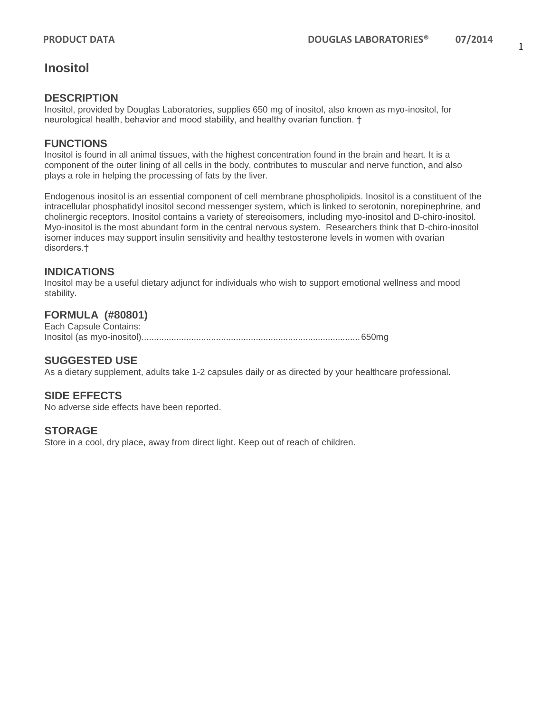## 1

# **Inositol**

#### **DESCRIPTION**

Inositol, provided by Douglas Laboratories, supplies 650 mg of inositol, also known as myo-inositol, for neurological health, behavior and mood stability, and healthy ovarian function. †

## **FUNCTIONS**

Inositol is found in all animal tissues, with the highest concentration found in the brain and heart. It is a component of the outer lining of all cells in the body, contributes to muscular and nerve function, and also plays a role in helping the processing of fats by the liver.

Endogenous inositol is an essential component of cell membrane phospholipids. Inositol is a constituent of the intracellular phosphatidyl inositol second messenger system, which is linked to serotonin, norepinephrine, and cholinergic receptors. Inositol contains a variety of stereoisomers, including myo-inositol and D-chiro-inositol. Myo-inositol is the most abundant form in the central nervous system. Researchers think that D-chiro-inositol isomer induces may support insulin sensitivity and healthy testosterone levels in women with ovarian disorders.†

#### **INDICATIONS**

Inositol may be a useful dietary adjunct for individuals who wish to support emotional wellness and mood stability.

### **FORMULA (#80801)**

Each Capsule Contains: Inositol (as myo-inositol)........................................................................................650mg

## **SUGGESTED USE**

As a dietary supplement, adults take 1-2 capsules daily or as directed by your healthcare professional.

#### **SIDE EFFECTS**

No adverse side effects have been reported.

#### **STORAGE**

Store in a cool, dry place, away from direct light. Keep out of reach of children.